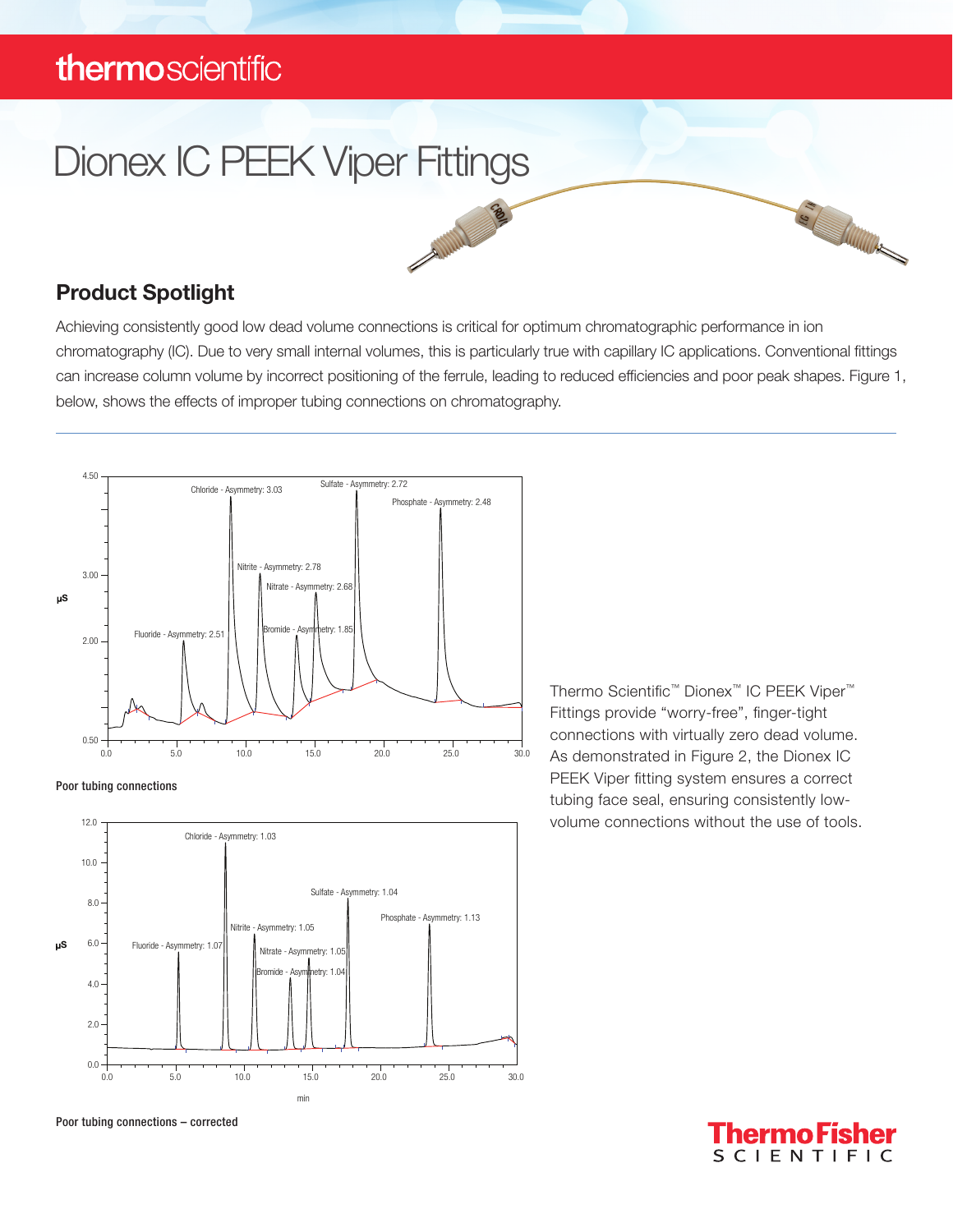### thermoscientific

# Dionex IC PEEK Viper Fittings **SAMINES**

### Product Spotlight

Achieving consistently good low dead volume connections is critical for optimum chromatographic performance in ion chromatography (IC). Due to very small internal volumes, this is particularly true with capillary IC applications. Conventional fittings can increase column volume by incorrect positioning of the ferrule, leading to reduced efficiencies and poor peak shapes. Figure 1, below, shows the effects of improper tubing connections on chromatography.







Thermo Scientific™ Dionex™ IC PEEK Viper™ Fittings provide "worry-free", finger-tight connections with virtually zero dead volume. As demonstrated in Figure 2, the Dionex IC PEEK Viper fitting system ensures a correct tubing face seal, ensuring consistently lowvolume connections without the use of tools.



S ANTIQUES

Poor tubing connections – corrected